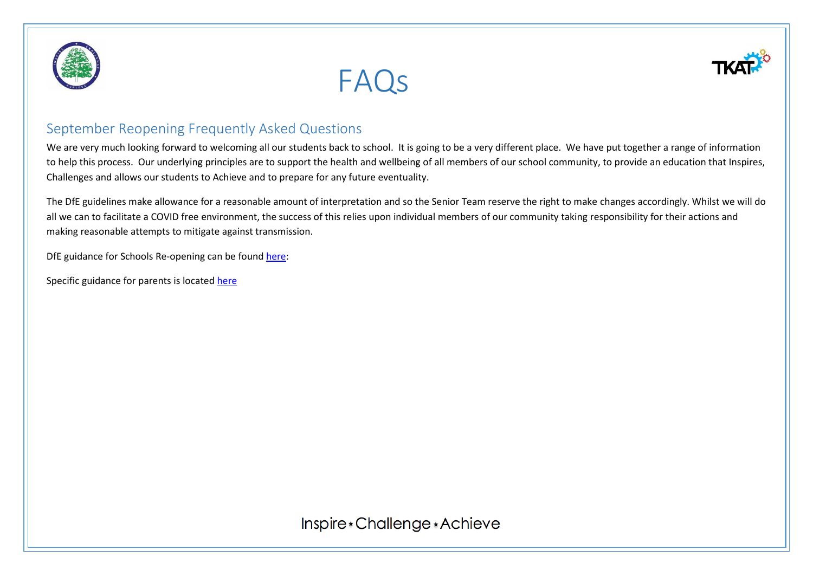





We are very much looking forward to welcoming all our students back to school. It is going to be a very different place. We have put together a range of information to help this process. Our underlying principles are to support the health and wellbeing of all members of our school community, to provide an education that Inspires, Challenges and allows our students to Achieve and to prepare for any future eventuality.

The DfE guidelines make allowance for a reasonable amount of interpretation and so the Senior Team reserve the right to make changes accordingly. Whilst we will do all we can to facilitate a COVID free environment, the success of this relies upon individual members of our community taking responsibility for their actions and making reasonable attempts to mitigate against transmission.

DfE guidance for Schools Re-opening can be foun[d here:](https://www.gov.uk/government/publications/actions-for-schools-during-the-coronavirus-outbreak/guidance-for-full-opening-schools)

Specific guidance for parents is locate[d here](https://www.gov.uk/government/publications/what-parents-and-carers-need-to-know-about-early-years-providers-schools-and-colleges-during-the-coronavirus-covid-19-outbreak/what-parents-and-carers-need-to-know-about-early-years-providers-schools-and-colleges-in-the-autumn-term)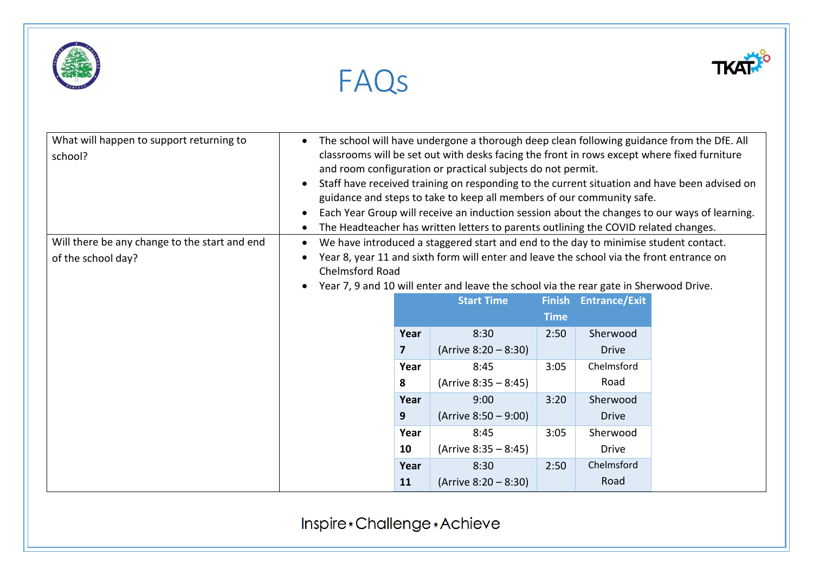





FAQs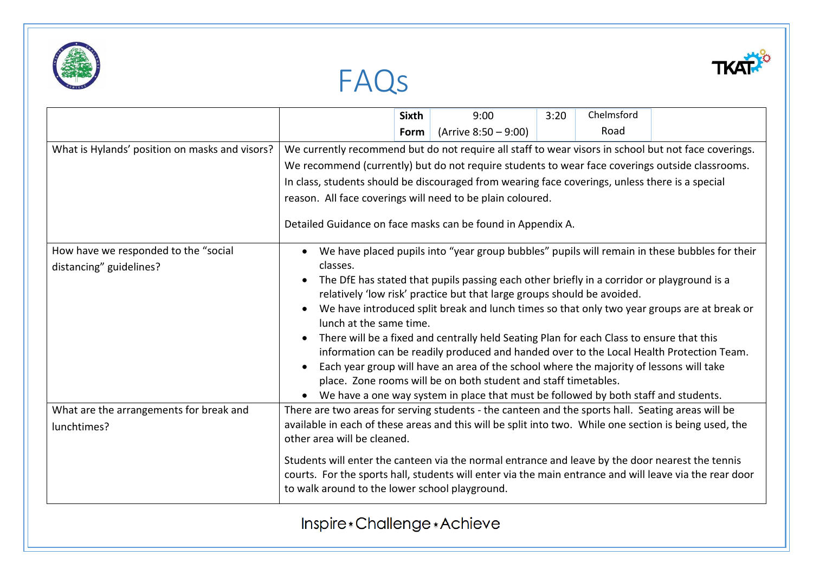





|                                                |                                                                                                                                                                                                                                                                                                                                                                                                                                                                                                                                                                                                                                                                                                 | <b>Sixth</b> | 9:00                    | 3:20 | Chelmsford |  |
|------------------------------------------------|-------------------------------------------------------------------------------------------------------------------------------------------------------------------------------------------------------------------------------------------------------------------------------------------------------------------------------------------------------------------------------------------------------------------------------------------------------------------------------------------------------------------------------------------------------------------------------------------------------------------------------------------------------------------------------------------------|--------------|-------------------------|------|------------|--|
|                                                |                                                                                                                                                                                                                                                                                                                                                                                                                                                                                                                                                                                                                                                                                                 | Form         | (Arrive $8:50 - 9:00$ ) |      | Road       |  |
| What is Hylands' position on masks and visors? | We currently recommend but do not require all staff to wear visors in school but not face coverings.<br>We recommend (currently) but do not require students to wear face coverings outside classrooms.                                                                                                                                                                                                                                                                                                                                                                                                                                                                                         |              |                         |      |            |  |
|                                                |                                                                                                                                                                                                                                                                                                                                                                                                                                                                                                                                                                                                                                                                                                 |              |                         |      |            |  |
|                                                | In class, students should be discouraged from wearing face coverings, unless there is a special                                                                                                                                                                                                                                                                                                                                                                                                                                                                                                                                                                                                 |              |                         |      |            |  |
|                                                | reason. All face coverings will need to be plain coloured.                                                                                                                                                                                                                                                                                                                                                                                                                                                                                                                                                                                                                                      |              |                         |      |            |  |
|                                                | Detailed Guidance on face masks can be found in Appendix A.                                                                                                                                                                                                                                                                                                                                                                                                                                                                                                                                                                                                                                     |              |                         |      |            |  |
| How have we responded to the "social           | We have placed pupils into "year group bubbles" pupils will remain in these bubbles for their<br>classes.<br>The DfE has stated that pupils passing each other briefly in a corridor or playground is a<br>relatively 'low risk' practice but that large groups should be avoided.<br>We have introduced split break and lunch times so that only two year groups are at break or<br>lunch at the same time.<br>There will be a fixed and centrally held Seating Plan for each Class to ensure that this<br>information can be readily produced and handed over to the Local Health Protection Team.<br>Each year group will have an area of the school where the majority of lessons will take |              |                         |      |            |  |
| distancing" guidelines?                        |                                                                                                                                                                                                                                                                                                                                                                                                                                                                                                                                                                                                                                                                                                 |              |                         |      |            |  |
|                                                |                                                                                                                                                                                                                                                                                                                                                                                                                                                                                                                                                                                                                                                                                                 |              |                         |      |            |  |
|                                                |                                                                                                                                                                                                                                                                                                                                                                                                                                                                                                                                                                                                                                                                                                 |              |                         |      |            |  |
|                                                |                                                                                                                                                                                                                                                                                                                                                                                                                                                                                                                                                                                                                                                                                                 |              |                         |      |            |  |
|                                                |                                                                                                                                                                                                                                                                                                                                                                                                                                                                                                                                                                                                                                                                                                 |              |                         |      |            |  |
|                                                |                                                                                                                                                                                                                                                                                                                                                                                                                                                                                                                                                                                                                                                                                                 |              |                         |      |            |  |
|                                                | place. Zone rooms will be on both student and staff timetables.                                                                                                                                                                                                                                                                                                                                                                                                                                                                                                                                                                                                                                 |              |                         |      |            |  |
|                                                | We have a one way system in place that must be followed by both staff and students.                                                                                                                                                                                                                                                                                                                                                                                                                                                                                                                                                                                                             |              |                         |      |            |  |
| What are the arrangements for break and        | There are two areas for serving students - the canteen and the sports hall. Seating areas will be                                                                                                                                                                                                                                                                                                                                                                                                                                                                                                                                                                                               |              |                         |      |            |  |
| lunchtimes?                                    | available in each of these areas and this will be split into two. While one section is being used, the<br>other area will be cleaned.                                                                                                                                                                                                                                                                                                                                                                                                                                                                                                                                                           |              |                         |      |            |  |
|                                                | Students will enter the canteen via the normal entrance and leave by the door nearest the tennis                                                                                                                                                                                                                                                                                                                                                                                                                                                                                                                                                                                                |              |                         |      |            |  |
|                                                | courts. For the sports hall, students will enter via the main entrance and will leave via the rear door                                                                                                                                                                                                                                                                                                                                                                                                                                                                                                                                                                                         |              |                         |      |            |  |
|                                                | to walk around to the lower school playground.                                                                                                                                                                                                                                                                                                                                                                                                                                                                                                                                                                                                                                                  |              |                         |      |            |  |
|                                                | Inspire * Challenge * Achieve                                                                                                                                                                                                                                                                                                                                                                                                                                                                                                                                                                                                                                                                   |              |                         |      |            |  |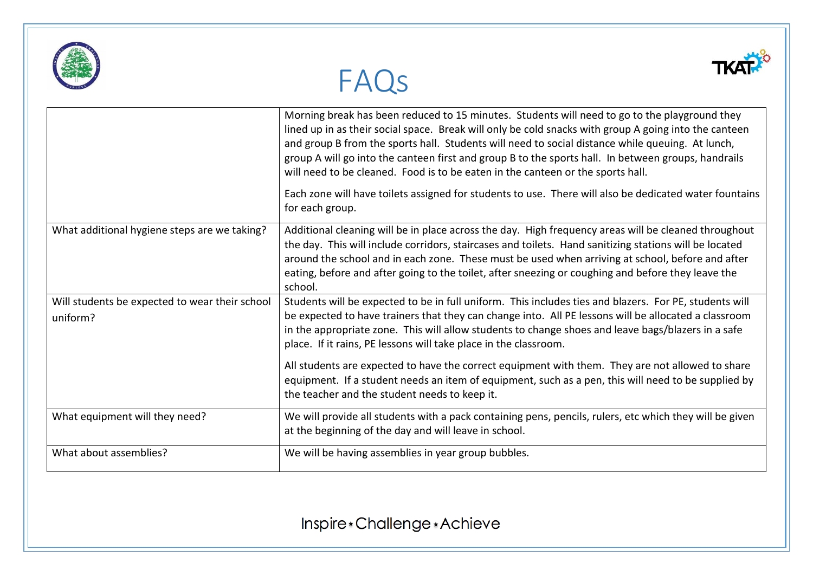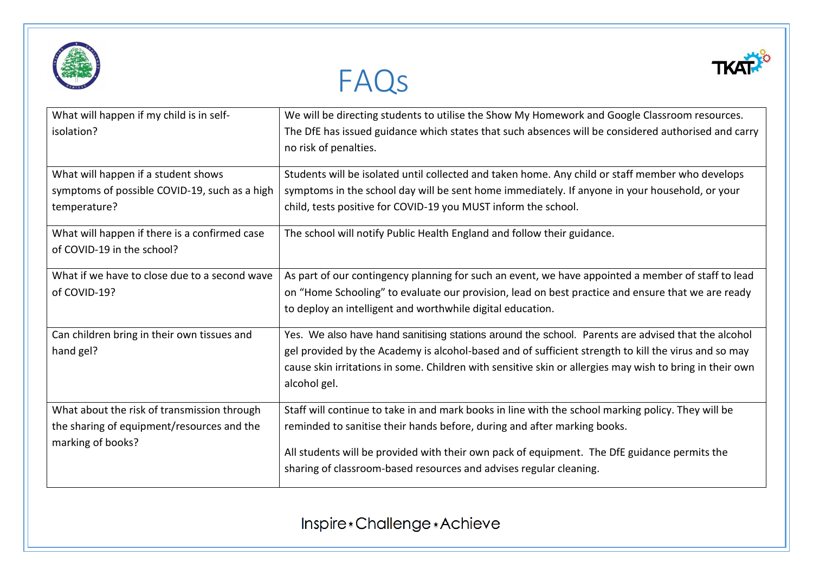





| What will happen if my child is in self-<br>isolation?                                                         | We will be directing students to utilise the Show My Homework and Google Classroom resources.<br>The DfE has issued guidance which states that such absences will be considered authorised and carry<br>no risk of penalties.                                                                                                                        |
|----------------------------------------------------------------------------------------------------------------|------------------------------------------------------------------------------------------------------------------------------------------------------------------------------------------------------------------------------------------------------------------------------------------------------------------------------------------------------|
| What will happen if a student shows<br>symptoms of possible COVID-19, such as a high<br>temperature?           | Students will be isolated until collected and taken home. Any child or staff member who develops<br>symptoms in the school day will be sent home immediately. If anyone in your household, or your<br>child, tests positive for COVID-19 you MUST inform the school.                                                                                 |
| What will happen if there is a confirmed case<br>of COVID-19 in the school?                                    | The school will notify Public Health England and follow their guidance.                                                                                                                                                                                                                                                                              |
| What if we have to close due to a second wave<br>of COVID-19?                                                  | As part of our contingency planning for such an event, we have appointed a member of staff to lead<br>on "Home Schooling" to evaluate our provision, lead on best practice and ensure that we are ready<br>to deploy an intelligent and worthwhile digital education.                                                                                |
| Can children bring in their own tissues and<br>hand gel?                                                       | Yes. We also have hand sanitising stations around the school. Parents are advised that the alcohol<br>gel provided by the Academy is alcohol-based and of sufficient strength to kill the virus and so may<br>cause skin irritations in some. Children with sensitive skin or allergies may wish to bring in their own<br>alcohol gel.               |
| What about the risk of transmission through<br>the sharing of equipment/resources and the<br>marking of books? | Staff will continue to take in and mark books in line with the school marking policy. They will be<br>reminded to sanitise their hands before, during and after marking books.<br>All students will be provided with their own pack of equipment. The DfE guidance permits the<br>sharing of classroom-based resources and advises regular cleaning. |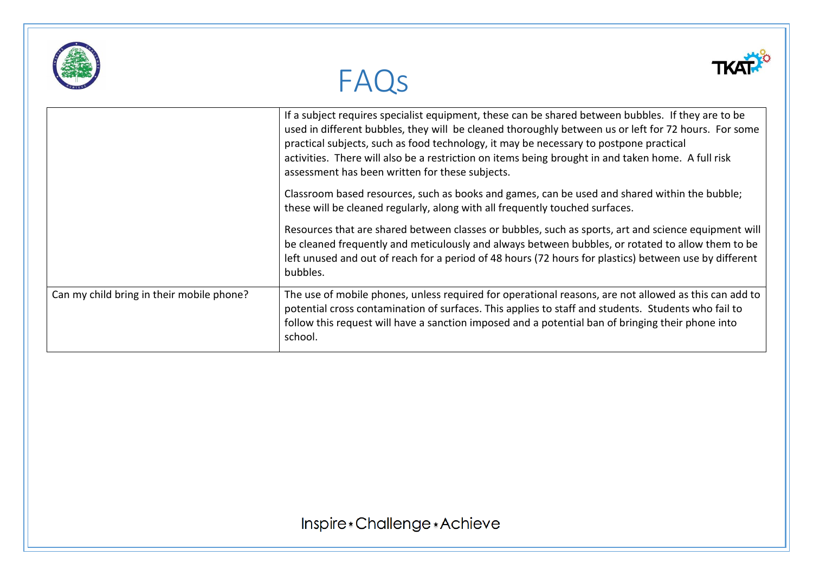|                                           | FAQS                                                                                                                                                                                                                                                                                                                                                                                                                                                          |
|-------------------------------------------|---------------------------------------------------------------------------------------------------------------------------------------------------------------------------------------------------------------------------------------------------------------------------------------------------------------------------------------------------------------------------------------------------------------------------------------------------------------|
|                                           | If a subject requires specialist equipment, these can be shared between bubbles. If they are to be<br>used in different bubbles, they will be cleaned thoroughly between us or left for 72 hours. For some<br>practical subjects, such as food technology, it may be necessary to postpone practical<br>activities. There will also be a restriction on items being brought in and taken home. A full risk<br>assessment has been written for these subjects. |
|                                           | Classroom based resources, such as books and games, can be used and shared within the bubble;<br>these will be cleaned regularly, along with all frequently touched surfaces.                                                                                                                                                                                                                                                                                 |
|                                           | Resources that are shared between classes or bubbles, such as sports, art and science equipment will<br>be cleaned frequently and meticulously and always between bubbles, or rotated to allow them to be<br>left unused and out of reach for a period of 48 hours (72 hours for plastics) between use by different<br>bubbles.                                                                                                                               |
| Can my child bring in their mobile phone? | The use of mobile phones, unless required for operational reasons, are not allowed as this can add to<br>potential cross contamination of surfaces. This applies to staff and students. Students who fail to<br>follow this request will have a sanction imposed and a potential ban of bringing their phone into<br>school.                                                                                                                                  |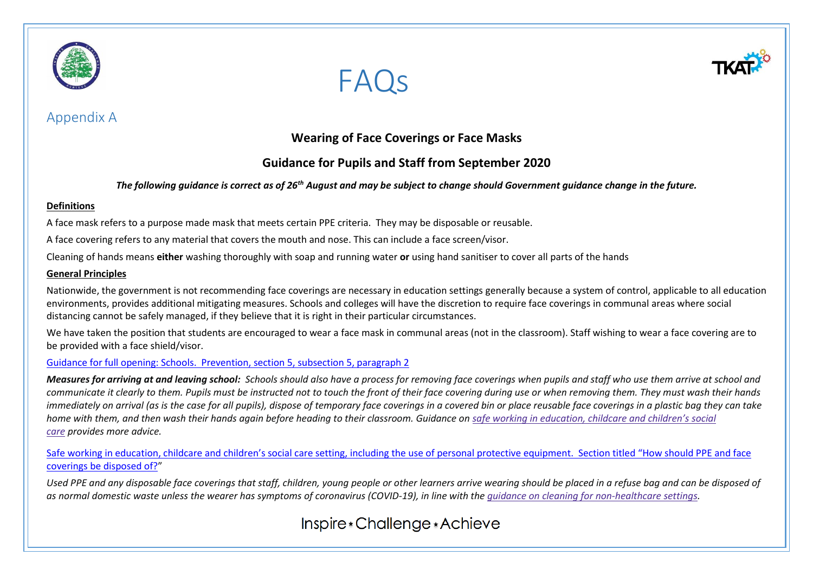

## Appendix A





## **Wearing of Face Coverings or Face Masks**

## **Guidance for Pupils and Staff from September 2020**

#### *The following guidance is correct as of 26th August and may be subject to change should Government guidance change in the future.*

#### **Definitions**

A face mask refers to a purpose made mask that meets certain PPE criteria. They may be disposable or reusable.

A face covering refers to any material that covers the mouth and nose. This can include a face screen/visor.

Cleaning of hands means **either** washing thoroughly with soap and running water **or** using hand sanitiser to cover all parts of the hands

#### **General Principles**

Nationwide, the government is not recommending face coverings are necessary in education settings generally because a system of control, applicable to all education environments, provides additional mitigating measures. Schools and colleges will have the discretion to require face coverings in communal areas where social distancing cannot be safely managed, if they believe that it is right in their particular circumstances.

We have taken the position that students are encouraged to wear a face mask in communal areas (not in the classroom). Staff wishing to wear a face covering are to be provided with a face shield/visor.

#### [Guidance for full opening: Schools. Prevention, section 5, subsection 5, paragraph 2](https://www.gov.uk/government/publications/actions-for-schools-during-the-coronavirus-outbreak/guidance-for-full-opening-schools)

*Measures for arriving at and leaving school: Schools should also have a process for removing face coverings when pupils and staff who use them arrive at school and*  $\blacksquare$ *communicate it clearly to them. Pupils must be instructed not to touch the front of their face covering during use or when removing them. They must wash their hands immediately on arrival (as is the case for all pupils), dispose of temporary face coverings in a covered bin or place reusable face coverings in a plastic bag they can take home with them, and then wash their hands again before heading to their classroom. Guidance on safe working in [education,](https://www.gov.uk/government/publications/safe-working-in-education-childcare-and-childrens-social-care) childcare and children's social [care](https://www.gov.uk/government/publications/safe-working-in-education-childcare-and-childrens-social-care) provides more advice.*

Safe working [in education, childcare and children's social care setting, including the use of personal protective equipment. Section titled "How should PPE and face](https://www.gov.uk/government/publications/safe-working-in-education-childcare-and-childrens-social-care/safe-working-in-education-childcare-and-childrens-social-care-settings-including-the-use-of-personal-protective-equipment-ppe)  [coverings be disposed of?](https://www.gov.uk/government/publications/safe-working-in-education-childcare-and-childrens-social-care/safe-working-in-education-childcare-and-childrens-social-care-settings-including-the-use-of-personal-protective-equipment-ppe)"

*Used PPE and any disposable face coverings that staff, children, young people or other learners arrive wearing should be placed in a refuse bag and can be disposed of as normal domestic waste unless the wearer has symptoms of coronavirus (COVID-19), in line with the guidance on cleaning for [non-healthcare](https://www.gov.uk/government/publications/covid-19-decontamination-in-non-healthcare-settings) settings.*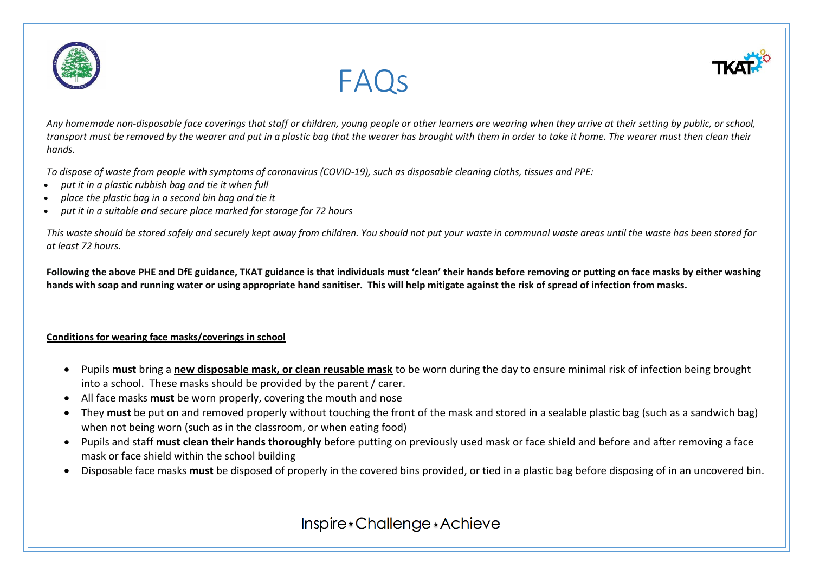



*Any homemade non-disposable face coverings that staff or children, young people or other learners are wearing when they arrive at their setting by public, or school, transport must be removed by the wearer and put in a plastic bag that the wearer has brought with them in order to take it home. The wearer must then clean their hands.*

FAQs

*To dispose of waste from people with symptoms of coronavirus (COVID-19), such as disposable cleaning cloths, tissues and PPE:*

- *put it in a plastic rubbish bag and tie it when full*
- *place the plastic bag in a second bin bag and tie it*
- *put it in a suitable and secure place marked for storage for 72 hours*

*This waste should be stored safely and securely kept away from children. You should not put your waste in communal waste areas until the waste has been stored for at least 72 hours.*

**Following the above PHE and DfE guidance, TKAT guidance is that individuals must 'clean' their hands before removing or putting on face masks by either washing hands with soap and running water or using appropriate hand sanitiser. This will help mitigate against the risk of spread of infection from masks.**

#### **Conditions for wearing face masks/coverings in school**

- Pupils **must** bring a **new disposable mask, or clean reusable mask** to be worn during the day to ensure minimal risk of infection being brought into a school. These masks should be provided by the parent / carer.
- All face masks **must** be worn properly, covering the mouth and nose
- They **must** be put on and removed properly without touching the front of the mask and stored in a sealable plastic bag (such as a sandwich bag) when not being worn (such as in the classroom, or when eating food)
- Pupils and staff **must clean their hands thoroughly** before putting on previously used mask or face shield and before and after removing a face mask or face shield within the school building
- Disposable face masks **must** be disposed of properly in the covered bins provided, or tied in a plastic bag before disposing of in an uncovered bin.